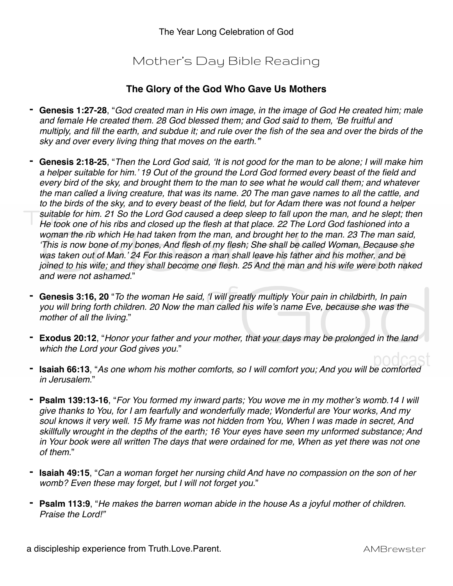## Mother's Day Bible Reading

## **The Glory of the God Who Gave Us Mothers**

- **- Genesis 1:27-28**, "*God created man in His own image, in the image of God He created him; male and female He created them. 28 God blessed them; and God said to them, 'Be fruitful and multiply, and fill the earth, and subdue it; and rule over the fish of the sea and over the birds of the sky and over every living thing that moves on the earth.'*"
- **- Genesis 2:18-25**, "*Then the Lord God said, 'It is not good for the man to be alone; I will make him a helper suitable for him.' 19 Out of the ground the Lord God formed every beast of the field and every bird of the sky, and brought them to the man to see what he would call them; and whatever the man called a living creature, that was its name. 20 The man gave names to all the cattle, and to the birds of the sky, and to every beast of the field, but for Adam there was not found a helper suitable for him. 21 So the Lord God caused a deep sleep to fall upon the man, and he slept; then He took one of his ribs and closed up the flesh at that place. 22 The Lord God fashioned into a woman the rib which He had taken from the man, and brought her to the man. 23 The man said, 'This is now bone of my bones, And flesh of my flesh; She shall be called Woman, Because she was taken out of Man.' 24 For this reason a man shall leave his father and his mother, and be joined to his wife; and they shall become one flesh. 25 And the man and his wife were both naked and were not ashamed.*"
- **- Genesis 3:16, 20** "*To the woman He said, 'I will greatly multiply Your pain in childbirth, In pain you will bring forth children. 20 Now the man called his wife's name Eve, because she was the mother of all the living.*"
- **- Exodus 20:12**, "*Honor your father and your mother, that your days may be prolonged in the land which the Lord your God gives you.*"
- **- Isaiah 66:13**, "*As one whom his mother comforts, so I will comfort you; And you will be comforted in Jerusalem.*"
- **- Psalm 139:13-16**, "*For You formed my inward parts; You wove me in my mother's womb.14 I will give thanks to You, for I am fearfully and wonderfully made; Wonderful are Your works, And my soul knows it very well. 15 My frame was not hidden from You, When I was made in secret, And skillfully wrought in the depths of the earth; 16 Your eyes have seen my unformed substance; And in Your book were all written The days that were ordained for me, When as yet there was not one of them.*"
- **- Isaiah 49:15**, "*Can a woman forget her nursing child And have no compassion on the son of her womb? Even these may forget, but I will not forget you.*"
- **- Psalm 113:9**, "*He makes the barren woman abide in the house As a joyful mother of children. Praise the Lord!"*

a discipleship experience from Truth.Love.Parent. **AMBR** example a discipleship experience from Truth.Love.Parent.